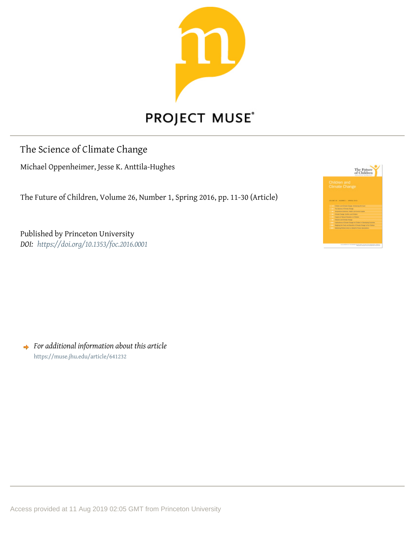

# The Science of Climate Change

Michael Oppenheimer, Jesse K. Anttila-Hughes

The Future of Children, Volume 26, Number 1, Spring 2016, pp. 11-30 (Article)

Published by Princeton University *DOI: <https://doi.org/10.1353/foc.2016.0001>*



*For additional information about this article* <https://muse.jhu.edu/article/641232>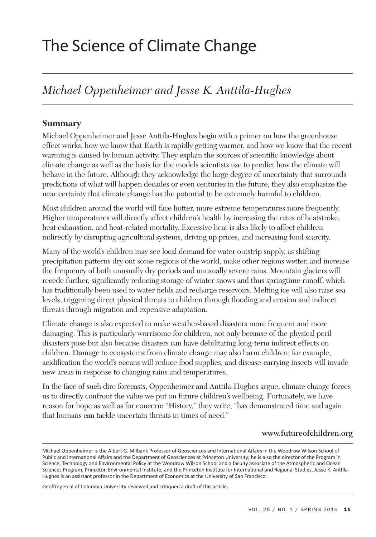# The Science of Climate Change

# *Michael Oppenheimer and Jesse K. Anttila-Hughes*

#### **Summary**

Michael Oppenheimer and Jesse Anttila-Hughes begin with a primer on how the greenhouse effect works, how we know that Earth is rapidly getting warmer, and how we know that the recent warming is caused by human activity. They explain the sources of scientific knowledge about climate change as well as the basis for the models scientists use to predict how the climate will behave in the future. Although they acknowledge the large degree of uncertainty that surrounds predictions of what will happen decades or even centuries in the future, they also emphasize the near certainty that climate change has the potential to be extremely harmful to children.

Most children around the world will face hotter, more extreme temperatures more frequently. Higher temperatures will directly affect children's health by increasing the rates of heatstroke, heat exhaustion, and heat-related mortality. Excessive heat is also likely to affect children indirectly by disrupting agricultural systems, driving up prices, and increasing food scarcity.

Many of the world's children may see local demand for water outstrip supply, as shifting precipitation patterns dry out some regions of the world, make other regions wetter, and increase the frequency of both unusually dry periods and unusually severe rains. Mountain glaciers will recede further, significantly reducing storage of winter snows and thus springtime runoff, which has traditionally been used to water fields and recharge reservoirs. Melting ice will also raise sea levels, triggering direct physical threats to children through flooding and erosion and indirect threats through migration and expensive adaptation.

Climate change is also expected to make weather-based disasters more frequent and more damaging. This is particularly worrisome for children, not only because of the physical peril disasters pose but also because disasters can have debilitating long-term indirect effects on children. Damage to ecosystems from climate change may also harm children; for example, acidification the world's oceans will reduce food supplies, and disease-carrying insects will invade new areas in response to changing rains and temperatures.

In the face of such dire forecasts, Oppenheimer and Anttila-Hughes argue, climate change forces us to directly confront the value we put on future children's wellbeing. Fortunately, we have reason for hope as well as for concern: "History," they write, "has demonstrated time and again that humans can tackle uncertain threats in times of need."

#### **www.futureofchildren.org**

Geoffrey Heal of Columbia University reviewed and critiqued a draft of this article.

Michael Oppenheimer is the Albert G. Milbank Professor of Geosciences and International Affairs in the Woodrow Wilson School of Public and International Affairs and the Department of Geosciences at Princeton University; he is also the director of the Program in Science, Technology and Environmental Policy at the Woodrow Wilson School and a faculty associate of the Atmospheric and Ocean Sciences Program, Princeton Environmental Institute, and the Princeton Institute for International and Regional Studies. Jesse K. Anttila-Hughes is an assistant professor in the Department of Economics at the University of San Francisco.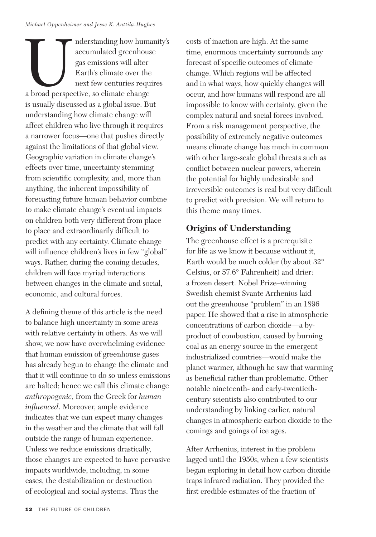nderstanding how humanity's<br>
accumulated greenhouse<br>
gas emissions will alter<br>
Earth's climate over the<br>
next few centuries requires<br>
a broad perspective, so climate change accumulated greenhouse gas emissions will alter Earth's climate over the next few centuries requires is usually discussed as a global issue. But understanding how climate change will affect children who live through it requires a narrower focus—one that pushes directly against the limitations of that global view. Geographic variation in climate change's effects over time, uncertainty stemming from scientific complexity, and, more than anything, the inherent impossibility of forecasting future human behavior combine to make climate change's eventual impacts on children both very different from place to place and extraordinarily difficult to predict with any certainty. Climate change will influence children's lives in few "global" ways. Rather, during the coming decades, children will face myriad interactions between changes in the climate and social, economic, and cultural forces.

A defining theme of this article is the need to balance high uncertainty in some areas with relative certainty in others. As we will show, we now have overwhelming evidence that human emission of greenhouse gases has already begun to change the climate and that it will continue to do so unless emissions are halted; hence we call this climate change *anthropogenic*, from the Greek for *human influenced*. Moreover, ample evidence indicates that we can expect many changes in the weather and the climate that will fall outside the range of human experience. Unless we reduce emissions drastically, those changes are expected to have pervasive impacts worldwide, including, in some cases, the destabilization or destruction of ecological and social systems. Thus the

costs of inaction are high. At the same time, enormous uncertainty surrounds any forecast of specific outcomes of climate change. Which regions will be affected and in what ways, how quickly changes will occur, and how humans will respond are all impossible to know with certainty, given the complex natural and social forces involved. From a risk management perspective, the possibility of extremely negative outcomes means climate change has much in common with other large-scale global threats such as conflict between nuclear powers, wherein the potential for highly undesirable and irreversible outcomes is real but very difficult to predict with precision. We will return to this theme many times.

# **Origins of Understanding**

The greenhouse effect is a prerequisite for life as we know it because without it, Earth would be much colder (by about 32° Celsius, or 57.6° Fahrenheit) and drier: a frozen desert. Nobel Prize–winning Swedish chemist Svante Arrhenius laid out the greenhouse "problem" in an 1896 paper. He showed that a rise in atmospheric concentrations of carbon dioxide—a byproduct of combustion, caused by burning coal as an energy source in the emergent industrialized countries—would make the planet warmer, although he saw that warming as beneficial rather than problematic. Other notable nineteenth- and early-twentiethcentury scientists also contributed to our understanding by linking earlier, natural changes in atmospheric carbon dioxide to the comings and goings of ice ages.

After Arrhenius, interest in the problem lagged until the 1950s, when a few scientists began exploring in detail how carbon dioxide traps infrared radiation. They provided the first credible estimates of the fraction of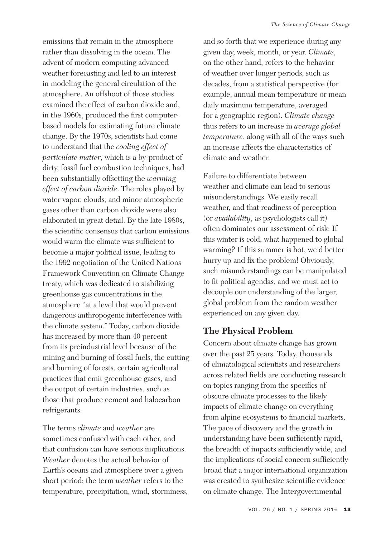emissions that remain in the atmosphere rather than dissolving in the ocean. The advent of modern computing advanced weather forecasting and led to an interest in modeling the general circulation of the atmosphere. An offshoot of those studies examined the effect of carbon dioxide and, in the 1960s, produced the first computerbased models for estimating future climate change. By the 1970s, scientists had come to understand that the *cooling effect of particulate matter*, which is a by-product of dirty, fossil fuel combustion techniques, had been substantially offsetting the *warming effect of carbon dioxide*. The roles played by water vapor, clouds, and minor atmospheric gases other than carbon dioxide were also elaborated in great detail. By the late 1980s, the scientific consensus that carbon emissions would warm the climate was sufficient to become a major political issue, leading to the 1992 negotiation of the United Nations Framework Convention on Climate Change treaty, which was dedicated to stabilizing greenhouse gas concentrations in the atmosphere "at a level that would prevent dangerous anthropogenic interference with the climate system." Today, carbon dioxide has increased by more than 40 percent from its preindustrial level because of the mining and burning of fossil fuels, the cutting and burning of forests, certain agricultural practices that emit greenhouse gases, and the output of certain industries, such as those that produce cement and halocarbon refrigerants.

The terms *climate* and *weather* are sometimes confused with each other, and that confusion can have serious implications. *Weather* denotes the actual behavior of Earth's oceans and atmosphere over a given short period; the term *weather* refers to the temperature, precipitation, wind, storminess, and so forth that we experience during any given day, week, month, or year. *Climate*, on the other hand, refers to the behavior of weather over longer periods, such as decades, from a statistical perspective (for example, annual mean temperature or mean daily maximum temperature, averaged for a geographic region). *Climate change*  thus refers to an increase in *average global temperature*, along with all of the ways such an increase affects the characteristics of climate and weather.

Failure to differentiate between weather and climate can lead to serious misunderstandings. We easily recall weather, and that readiness of perception (or *availability*, as psychologists call it) often dominates our assessment of risk: If this winter is cold, what happened to global warming? If this summer is hot, we'd better hurry up and fix the problem! Obviously, such misunderstandings can be manipulated to fit political agendas, and we must act to decouple our understanding of the larger, global problem from the random weather experienced on any given day.

#### **The Physical Problem**

Concern about climate change has grown over the past 25 years. Today, thousands of climatological scientists and researchers across related fields are conducting research on topics ranging from the specifics of obscure climate processes to the likely impacts of climate change on everything from alpine ecosystems to financial markets. The pace of discovery and the growth in understanding have been sufficiently rapid, the breadth of impacts sufficiently wide, and the implications of social concern sufficiently broad that a major international organization was created to synthesize scientific evidence on climate change. The Intergovernmental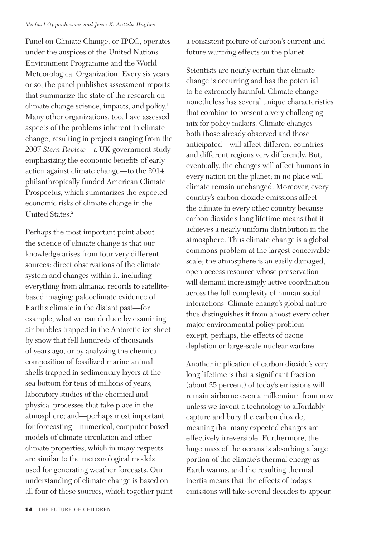Panel on Climate Change, or IPCC, operates under the auspices of the United Nations Environment Programme and the World Meteorological Organization. Every six years or so, the panel publishes assessment reports that summarize the state of the research on climate change science, impacts, and policy.<sup>1</sup> Many other organizations, too, have assessed aspects of the problems inherent in climate change, resulting in projects ranging from the 2007 *Stern Review*—a UK government study emphasizing the economic benefits of early action against climate change—to the 2014 philanthropically funded American Climate Prospectus, which summarizes the expected economic risks of climate change in the United States.2

Perhaps the most important point about the science of climate change is that our knowledge arises from four very different sources: direct observations of the climate system and changes within it, including everything from almanac records to satellitebased imaging; paleoclimate evidence of Earth's climate in the distant past—for example, what we can deduce by examining air bubbles trapped in the Antarctic ice sheet by snow that fell hundreds of thousands of years ago, or by analyzing the chemical composition of fossilized marine animal shells trapped in sedimentary layers at the sea bottom for tens of millions of years; laboratory studies of the chemical and physical processes that take place in the atmosphere; and—perhaps most important for forecasting—numerical, computer-based models of climate circulation and other climate properties, which in many respects are similar to the meteorological models used for generating weather forecasts. Our understanding of climate change is based on all four of these sources, which together paint a consistent picture of carbon's current and future warming effects on the planet.

Scientists are nearly certain that climate change is occurring and has the potential to be extremely harmful. Climate change nonetheless has several unique characteristics that combine to present a very challenging mix for policy makers. Climate changes both those already observed and those anticipated—will affect different countries and different regions very differently. But, eventually, the changes will affect humans in every nation on the planet; in no place will climate remain unchanged. Moreover, every country's carbon dioxide emissions affect the climate in every other country because carbon dioxide's long lifetime means that it achieves a nearly uniform distribution in the atmosphere. Thus climate change is a global commons problem at the largest conceivable scale; the atmosphere is an easily damaged, open-access resource whose preservation will demand increasingly active coordination across the full complexity of human social interactions. Climate change's global nature thus distinguishes it from almost every other major environmental policy problem except, perhaps, the effects of ozone depletion or large-scale nuclear warfare.

Another implication of carbon dioxide's very long lifetime is that a significant fraction (about 25 percent) of today's emissions will remain airborne even a millennium from now unless we invent a technology to affordably capture and bury the carbon dioxide, meaning that many expected changes are effectively irreversible. Furthermore, the huge mass of the oceans is absorbing a large portion of the climate's thermal energy as Earth warms, and the resulting thermal inertia means that the effects of today's emissions will take several decades to appear.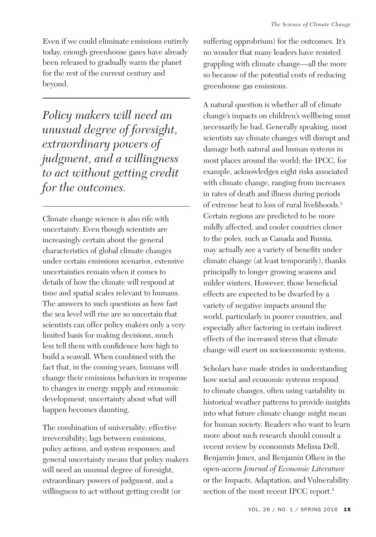*Policy makers will need an unusual degree of foresight, extraordinary powers of judgment, and a willingness to act without getting credit for the outcomes.*

Climate change science is also rife with uncertainty. Even though scientists are increasingly certain about the general characteristics of global climate changes under certain emissions scenarios, extensive uncertainties remain when it comes to details of how the climate will respond at time and spatial scales relevant to humans. The answers to such questions as how fast the sea level will rise are so uncertain that scientists can offer policy makers only a very limited basis for making decisions, much less tell them with confidence how high to build a seawall. When combined with the fact that, in the coming years, humans will change their emissions behaviors in response to changes in energy supply and economic development, uncertainty about what will happen becomes daunting.

The combination of universality; effective irreversibility; lags between emissions, policy actions, and system responses; and general uncertainty means that policy makers will need an unusual degree of foresight, extraordinary powers of judgment, and a willingness to act without getting credit (or

suffering opprobrium) for the outcomes. It's no wonder that many leaders have resisted grappling with climate change—all the more so because of the potential costs of reducing greenhouse gas emissions.

A natural question is whether all of climate change's impacts on children's wellbeing must necessarily be bad. Generally speaking, most scientists say climate changes will disrupt and damage both natural and human systems in most places around the world; the IPCC, for example, acknowledges eight risks associated with climate change, ranging from increases in rates of death and illness during periods of extreme heat to loss of rural livelihoods.3 Certain regions are predicted to be more mildly affected, and cooler countries closer to the poles, such as Canada and Russia, may actually see a variety of benefits under climate change (at least temporarily), thanks principally to longer growing seasons and milder winters. However, those beneficial effects are expected to be dwarfed by a variety of negative impacts around the world, particularly in poorer countries, and especially after factoring in certain indirect effects of the increased stress that climate change will exert on socioeconomic systems.

Scholars have made strides in understanding how social and economic systems respond to climate changes, often using variability in historical weather patterns to provide insights into what future climate change might mean for human society. Readers who want to learn more about such research should consult a recent review by economists Melissa Dell, Benjamin Jones, and Benjamin Olken in the open-access *Journal of Economic Literature* or the Impacts, Adaptation, and Vulnerability section of the most recent IPCC report.<sup>4</sup>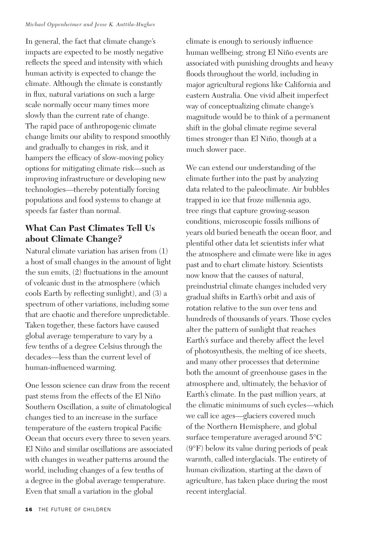#### *Michael Oppenheimer and Jesse K. Anttila-Hughes*

In general, the fact that climate change's impacts are expected to be mostly negative reflects the speed and intensity with which human activity is expected to change the climate. Although the climate is constantly in flux, natural variations on such a large scale normally occur many times more slowly than the current rate of change. The rapid pace of anthropogenic climate change limits our ability to respond smoothly and gradually to changes in risk, and it hampers the efficacy of slow-moving policy options for mitigating climate risk—such as improving infrastructure or developing new technologies—thereby potentially forcing populations and food systems to change at speeds far faster than normal.

## **What Can Past Climates Tell Us about Climate Change?**

Natural climate variation has arisen from (1) a host of small changes in the amount of light the sun emits, (2) fluctuations in the amount of volcanic dust in the atmosphere (which cools Earth by reflecting sunlight), and (3) a spectrum of other variations, including some that are chaotic and therefore unpredictable. Taken together, these factors have caused global average temperature to vary by a few tenths of a degree Celsius through the decades—less than the current level of human-influenced warming.

One lesson science can draw from the recent past stems from the effects of the El Niño Southern Oscillation, a suite of climatological changes tied to an increase in the surface temperature of the eastern tropical Pacific Ocean that occurs every three to seven years. El Niño and similar oscillations are associated with changes in weather patterns around the world, including changes of a few tenths of a degree in the global average temperature. Even that small a variation in the global

climate is enough to seriously influence human wellbeing; strong El Niño events are associated with punishing droughts and heavy floods throughout the world, including in major agricultural regions like California and eastern Australia. One vivid albeit imperfect way of conceptualizing climate change's magnitude would be to think of a permanent shift in the global climate regime several times stronger than El Niño, though at a much slower pace.

We can extend our understanding of the climate further into the past by analyzing data related to the paleoclimate. Air bubbles trapped in ice that froze millennia ago, tree rings that capture growing-season conditions, microscopic fossils millions of years old buried beneath the ocean floor, and plentiful other data let scientists infer what the atmosphere and climate were like in ages past and to chart climate history. Scientists now know that the causes of natural, preindustrial climate changes included very gradual shifts in Earth's orbit and axis of rotation relative to the sun over tens and hundreds of thousands of years. Those cycles alter the pattern of sunlight that reaches Earth's surface and thereby affect the level of photosynthesis, the melting of ice sheets, and many other processes that determine both the amount of greenhouse gases in the atmosphere and, ultimately, the behavior of Earth's climate. In the past million years, at the climatic minimums of such cycles—which we call ice ages—glaciers covered much of the Northern Hemisphere, and global surface temperature averaged around 5°C (9°F) below its value during periods of peak warmth, called interglacials. The entirety of human civilization, starting at the dawn of agriculture, has taken place during the most recent interglacial.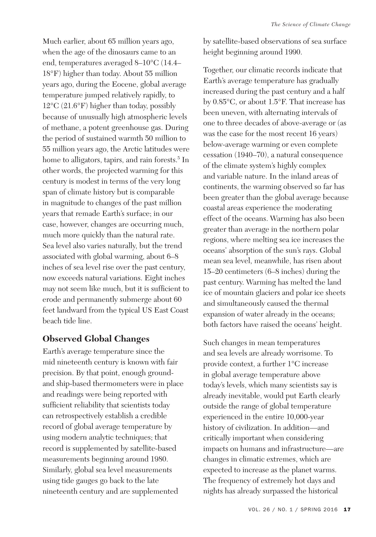Much earlier, about 65 million years ago, when the age of the dinosaurs came to an end, temperatures averaged 8–10°C (14.4– 18°F) higher than today. About 55 million years ago, during the Eocene, global average temperature jumped relatively rapidly, to 12°C (21.6°F) higher than today, possibly because of unusually high atmospheric levels of methane, a potent greenhouse gas. During the period of sustained warmth 50 million to 55 million years ago, the Arctic latitudes were home to alligators, tapirs, and rain forests.<sup>5</sup> In other words, the projected warming for this century is modest in terms of the very long span of climate history but is comparable in magnitude to changes of the past million years that remade Earth's surface; in our case, however, changes are occurring much, much more quickly than the natural rate. Sea level also varies naturally, but the trend associated with global warming, about 6–8 inches of sea level rise over the past century, now exceeds natural variations. Eight inches may not seem like much, but it is sufficient to erode and permanently submerge about 60 feet landward from the typical US East Coast beach tide line.

# **Observed Global Changes**

Earth's average temperature since the mid nineteenth century is known with fair precision. By that point, enough groundand ship-based thermometers were in place and readings were being reported with sufficient reliability that scientists today can retrospectively establish a credible record of global average temperature by using modern analytic techniques; that record is supplemented by satellite-based measurements beginning around 1980. Similarly, global sea level measurements using tide gauges go back to the late nineteenth century and are supplemented

by satellite-based observations of sea surface height beginning around 1990.

Together, our climatic records indicate that Earth's average temperature has gradually increased during the past century and a half by 0.85°C, or about 1.5°F. That increase has been uneven, with alternating intervals of one to three decades of above-average or (as was the case for the most recent 16 years) below-average warming or even complete cessation (1940–70), a natural consequence of the climate system's highly complex and variable nature. In the inland areas of continents, the warming observed so far has been greater than the global average because coastal areas experience the moderating effect of the oceans. Warming has also been greater than average in the northern polar regions, where melting sea ice increases the oceans' absorption of the sun's rays. Global mean sea level, meanwhile, has risen about 15–20 centimeters (6–8 inches) during the past century. Warming has melted the land ice of mountain glaciers and polar ice sheets and simultaneously caused the thermal expansion of water already in the oceans; both factors have raised the oceans' height.

Such changes in mean temperatures and sea levels are already worrisome. To provide context, a further 1°C increase in global average temperature above today's levels, which many scientists say is already inevitable, would put Earth clearly outside the range of global temperature experienced in the entire 10,000-year history of civilization. In addition—and critically important when considering impacts on humans and infrastructure—are changes in climatic extremes, which are expected to increase as the planet warms. The frequency of extremely hot days and nights has already surpassed the historical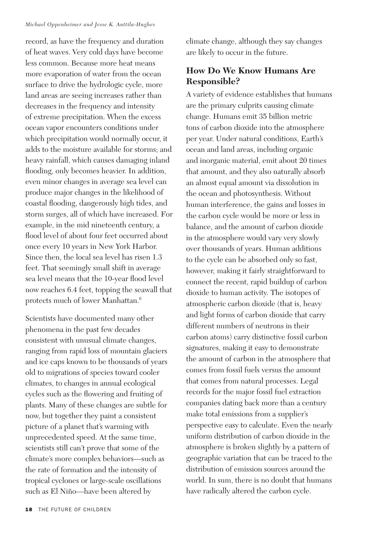record, as have the frequency and duration of heat waves. Very cold days have become less common. Because more heat means more evaporation of water from the ocean surface to drive the hydrologic cycle, more land areas are seeing increases rather than decreases in the frequency and intensity of extreme precipitation. When the excess ocean vapor encounters conditions under which precipitation would normally occur, it adds to the moisture available for storms; and heavy rainfall, which causes damaging inland flooding, only becomes heavier. In addition, even minor changes in average sea level can produce major changes in the likelihood of coastal flooding, dangerously high tides, and storm surges, all of which have increased. For example, in the mid nineteenth century, a flood level of about four feet occurred about once every 10 years in New York Harbor. Since then, the local sea level has risen 1.3 feet. That seemingly small shift in average sea level means that the 10-year flood level now reaches 6.4 feet, topping the seawall that protects much of lower Manhattan.6

Scientists have documented many other phenomena in the past few decades consistent with unusual climate changes, ranging from rapid loss of mountain glaciers and ice caps known to be thousands of years old to migrations of species toward cooler climates, to changes in annual ecological cycles such as the flowering and fruiting of plants. Many of these changes are subtle for now, but together they paint a consistent picture of a planet that's warming with unprecedented speed. At the same time, scientists still can't prove that some of the climate's more complex behaviors—such as the rate of formation and the intensity of tropical cyclones or large-scale oscillations such as El Niño—have been altered by

climate change, although they say changes are likely to occur in the future.

# **How Do We Know Humans Are Responsible?**

A variety of evidence establishes that humans are the primary culprits causing climate change. Humans emit 35 billion metric tons of carbon dioxide into the atmosphere per year. Under natural conditions, Earth's ocean and land areas, including organic and inorganic material, emit about 20 times that amount, and they also naturally absorb an almost equal amount via dissolution in the ocean and photosynthesis. Without human interference, the gains and losses in the carbon cycle would be more or less in balance, and the amount of carbon dioxide in the atmosphere would vary very slowly over thousands of years. Human additions to the cycle can be absorbed only so fast, however, making it fairly straightforward to connect the recent, rapid buildup of carbon dioxide to human activity. The isotopes of atmospheric carbon dioxide (that is, heavy and light forms of carbon dioxide that carry different numbers of neutrons in their carbon atoms) carry distinctive fossil carbon signatures, making it easy to demonstrate the amount of carbon in the atmosphere that comes from fossil fuels versus the amount that comes from natural processes. Legal records for the major fossil fuel extraction companies dating back more than a century make total emissions from a supplier's perspective easy to calculate. Even the nearly uniform distribution of carbon dioxide in the atmosphere is broken slightly by a pattern of geographic variation that can be traced to the distribution of emission sources around the world. In sum, there is no doubt that humans have radically altered the carbon cycle.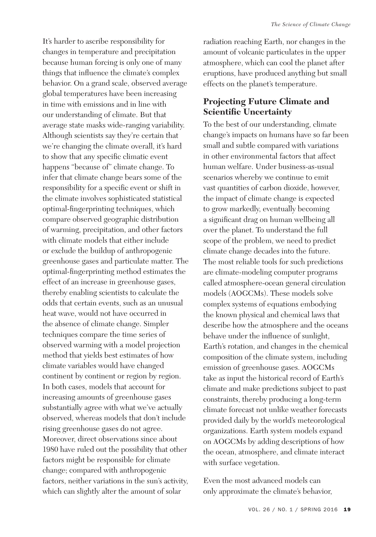It's harder to ascribe responsibility for changes in temperature and precipitation because human forcing is only one of many things that influence the climate's complex behavior. On a grand scale, observed average global temperatures have been increasing in time with emissions and in line with our understanding of climate. But that average state masks wide-ranging variability. Although scientists say they're certain that we're changing the climate overall, it's hard to show that any specific climatic event happens "because of" climate change. To infer that climate change bears some of the responsibility for a specific event or shift in the climate involves sophisticated statistical optimal-fingerprinting techniques, which compare observed geographic distribution of warming, precipitation, and other factors with climate models that either include or exclude the buildup of anthropogenic greenhouse gases and particulate matter. The optimal-fingerprinting method estimates the effect of an increase in greenhouse gases, thereby enabling scientists to calculate the odds that certain events, such as an unusual heat wave, would not have occurred in the absence of climate change. Simpler techniques compare the time series of observed warming with a model projection method that yields best estimates of how climate variables would have changed continent by continent or region by region. In both cases, models that account for increasing amounts of greenhouse gases substantially agree with what we've actually observed, whereas models that don't include rising greenhouse gases do not agree. Moreover, direct observations since about 1980 have ruled out the possibility that other factors might be responsible for climate change; compared with anthropogenic factors, neither variations in the sun's activity, which can slightly alter the amount of solar

radiation reaching Earth, nor changes in the amount of volcanic particulates in the upper atmosphere, which can cool the planet after eruptions, have produced anything but small effects on the planet's temperature.

#### **Projecting Future Climate and Scientific Uncertainty**

To the best of our understanding, climate change's impacts on humans have so far been small and subtle compared with variations in other environmental factors that affect human welfare. Under business-as-usual scenarios whereby we continue to emit vast quantities of carbon dioxide, however, the impact of climate change is expected to grow markedly, eventually becoming a significant drag on human wellbeing all over the planet. To understand the full scope of the problem, we need to predict climate change decades into the future. The most reliable tools for such predictions are climate-modeling computer programs called atmosphere-ocean general circulation models (AOGCMs). These models solve complex systems of equations embodying the known physical and chemical laws that describe how the atmosphere and the oceans behave under the influence of sunlight, Earth's rotation, and changes in the chemical composition of the climate system, including emission of greenhouse gases. AOGCMs take as input the historical record of Earth's climate and make predictions subject to past constraints, thereby producing a long-term climate forecast not unlike weather forecasts provided daily by the world's meteorological organizations. Earth system models expand on AOGCMs by adding descriptions of how the ocean, atmosphere, and climate interact with surface vegetation.

Even the most advanced models can only approximate the climate's behavior,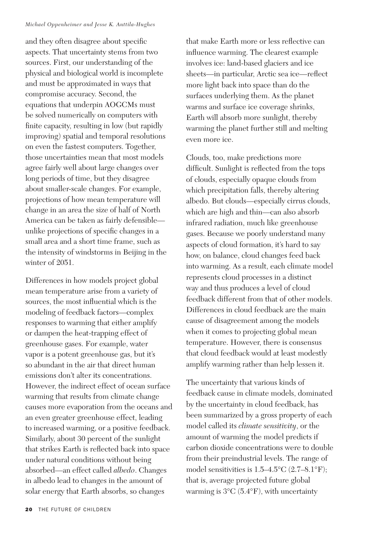#### *Michael Oppenheimer and Jesse K. Anttila-Hughes*

and they often disagree about specific aspects. That uncertainty stems from two sources. First, our understanding of the physical and biological world is incomplete and must be approximated in ways that compromise accuracy. Second, the equations that underpin AOGCMs must be solved numerically on computers with finite capacity, resulting in low (but rapidly improving) spatial and temporal resolutions on even the fastest computers. Together, those uncertainties mean that most models agree fairly well about large changes over long periods of time, but they disagree about smaller-scale changes. For example, projections of how mean temperature will change in an area the size of half of North America can be taken as fairly defensible unlike projections of specific changes in a small area and a short time frame, such as the intensity of windstorms in Beijing in the winter of 2051.

Differences in how models project global mean temperature arise from a variety of sources, the most influential which is the modeling of feedback factors—complex responses to warming that either amplify or dampen the heat-trapping effect of greenhouse gases. For example, water vapor is a potent greenhouse gas, but it's so abundant in the air that direct human emissions don't alter its concentrations. However, the indirect effect of ocean surface warming that results from climate change causes more evaporation from the oceans and an even greater greenhouse effect, leading to increased warming, or a positive feedback. Similarly, about 30 percent of the sunlight that strikes Earth is reflected back into space under natural conditions without being absorbed—an effect called *albedo*. Changes in albedo lead to changes in the amount of solar energy that Earth absorbs, so changes

that make Earth more or less reflective can influence warming. The clearest example involves ice: land-based glaciers and ice sheets—in particular, Arctic sea ice—reflect more light back into space than do the surfaces underlying them. As the planet warms and surface ice coverage shrinks, Earth will absorb more sunlight, thereby warming the planet further still and melting even more ice.

Clouds, too, make predictions more difficult. Sunlight is reflected from the tops of clouds, especially opaque clouds from which precipitation falls, thereby altering albedo. But clouds—especially cirrus clouds, which are high and thin—can also absorb infrared radiation, much like greenhouse gases. Because we poorly understand many aspects of cloud formation, it's hard to say how, on balance, cloud changes feed back into warming. As a result, each climate model represents cloud processes in a distinct way and thus produces a level of cloud feedback different from that of other models. Differences in cloud feedback are the main cause of disagreement among the models when it comes to projecting global mean temperature. However, there is consensus that cloud feedback would at least modestly amplify warming rather than help lessen it.

The uncertainty that various kinds of feedback cause in climate models, dominated by the uncertainty in cloud feedback, has been summarized by a gross property of each model called its *climate sensitivity*, or the amount of warming the model predicts if carbon dioxide concentrations were to double from their preindustrial levels. The range of model sensitivities is  $1.5-4.5^{\circ}$ C (2.7–8.1°F); that is, average projected future global warming is  $3^{\circ}$ C (5.4 $^{\circ}$ F), with uncertainty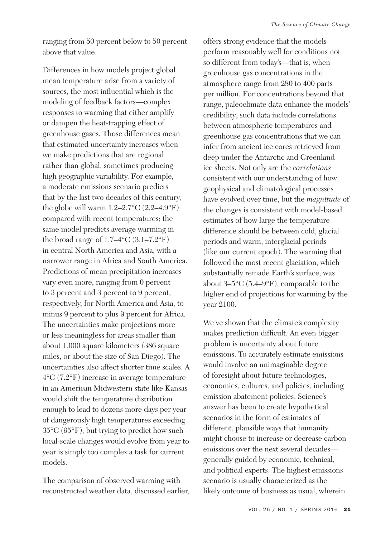ranging from 50 percent below to 50 percent above that value.

Differences in how models project global mean temperature arise from a variety of sources, the most influential which is the modeling of feedback factors—complex responses to warming that either amplify or dampen the heat-trapping effect of greenhouse gases. Those differences mean that estimated uncertainty increases when we make predictions that are regional rather than global, sometimes producing high geographic variability. For example, a moderate emissions scenario predicts that by the last two decades of this century, the globe will warm  $1.2-2.7$ °C  $(2.2-4.9$ °F) compared with recent temperatures; the same model predicts average warming in the broad range of  $1.7-4$ °C  $(3.1-7.2$ °F) in central North America and Asia, with a narrower range in Africa and South America. Predictions of mean precipitation increases vary even more, ranging from 0 percent to 3 percent and 3 percent to 9 percent, respectively, for North America and Asia, to minus 9 percent to plus 9 percent for Africa. The uncertainties make projections more or less meaningless for areas smaller than about 1,000 square kilometers (386 square miles, or about the size of San Diego). The uncertainties also affect shorter time scales. A 4°C (7.2°F) increase in average temperature in an American Midwestern state like Kansas would shift the temperature distribution enough to lead to dozens more days per year of dangerously high temperatures exceeding 35°C (95°F), but trying to predict how such local-scale changes would evolve from year to year is simply too complex a task for current models.

The comparison of observed warming with reconstructed weather data, discussed earlier, offers strong evidence that the models perform reasonably well for conditions not so different from today's—that is, when greenhouse gas concentrations in the atmosphere range from 280 to 400 parts per million. For concentrations beyond that range, paleoclimate data enhance the models' credibility; such data include correlations between atmospheric temperatures and greenhouse gas concentrations that we can infer from ancient ice cores retrieved from deep under the Antarctic and Greenland ice sheets. Not only are the *correlations* consistent with our understanding of how geophysical and climatological processes have evolved over time, but the *magnitude* of the changes is consistent with model-based estimates of how large the temperature difference should be between cold, glacial periods and warm, interglacial periods (like our current epoch). The warming that followed the most recent glaciation, which substantially remade Earth's surface, was about 3–5°C (5.4–9°F), comparable to the higher end of projections for warming by the year 2100.

We've shown that the climate's complexity makes prediction difficult. An even bigger problem is uncertainty about future emissions. To accurately estimate emissions would involve an unimaginable degree of foresight about future technologies, economies, cultures, and policies, including emission abatement policies. Science's answer has been to create hypothetical scenarios in the form of estimates of different, plausible ways that humanity might choose to increase or decrease carbon emissions over the next several decades generally guided by economic, technical, and political experts. The highest emissions scenario is usually characterized as the likely outcome of business as usual, wherein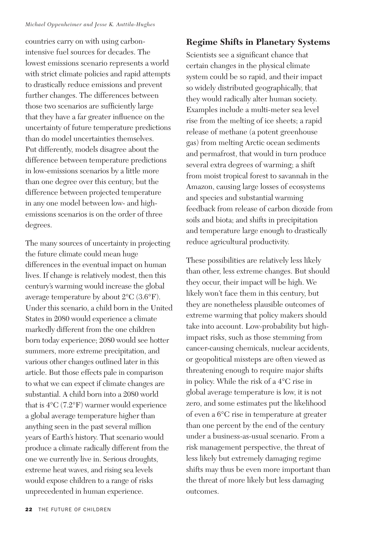countries carry on with using carbonintensive fuel sources for decades. The lowest emissions scenario represents a world with strict climate policies and rapid attempts to drastically reduce emissions and prevent further changes. The differences between those two scenarios are sufficiently large that they have a far greater influence on the uncertainty of future temperature predictions than do model uncertainties themselves. Put differently, models disagree about the difference between temperature predictions in low-emissions scenarios by a little more than one degree over this century, but the difference between projected temperature in any one model between low- and highemissions scenarios is on the order of three degrees.

The many sources of uncertainty in projecting the future climate could mean huge differences in the eventual impact on human lives. If change is relatively modest, then this century's warming would increase the global average temperature by about 2°C (3.6°F). Under this scenario, a child born in the United States in 2080 would experience a climate markedly different from the one children born today experience; 2080 would see hotter summers, more extreme precipitation, and various other changes outlined later in this article. But those effects pale in comparison to what we can expect if climate changes are substantial. A child born into a 2080 world that is  $4^{\circ}$ C (7.2°F) warmer would experience a global average temperature higher than anything seen in the past several million years of Earth's history. That scenario would produce a climate radically different from the one we currently live in. Serious droughts, extreme heat waves, and rising sea levels would expose children to a range of risks unprecedented in human experience.

#### **Regime Shifts in Planetary Systems**

Scientists see a significant chance that certain changes in the physical climate system could be so rapid, and their impact so widely distributed geographically, that they would radically alter human society. Examples include a multi-meter sea level rise from the melting of ice sheets; a rapid release of methane (a potent greenhouse gas) from melting Arctic ocean sediments and permafrost, that would in turn produce several extra degrees of warming; a shift from moist tropical forest to savannah in the Amazon, causing large losses of ecosystems and species and substantial warming feedback from release of carbon dioxide from soils and biota; and shifts in precipitation and temperature large enough to drastically reduce agricultural productivity.

These possibilities are relatively less likely than other, less extreme changes. But should they occur, their impact will be high. We likely won't face them in this century, but they are nonetheless plausible outcomes of extreme warming that policy makers should take into account. Low-probability but highimpact risks, such as those stemming from cancer-causing chemicals, nuclear accidents, or geopolitical missteps are often viewed as threatening enough to require major shifts in policy. While the risk of a 4°C rise in global average temperature is low, it is not zero, and some estimates put the likelihood of even a 6°C rise in temperature at greater than one percent by the end of the century under a business-as-usual scenario. From a risk management perspective, the threat of less likely but extremely damaging regime shifts may thus be even more important than the threat of more likely but less damaging outcomes.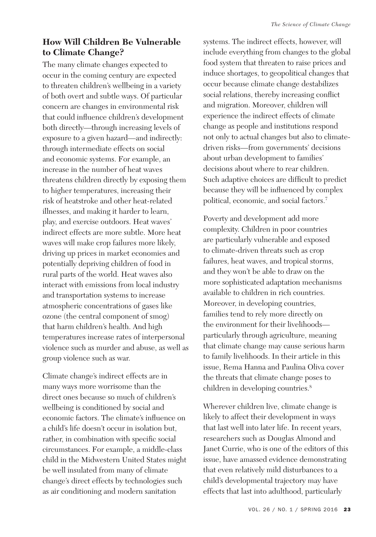# **How Will Children Be Vulnerable to Climate Change?**

The many climate changes expected to occur in the coming century are expected to threaten children's wellbeing in a variety of both overt and subtle ways. Of particular concern are changes in environmental risk that could influence children's development both directly—through increasing levels of exposure to a given hazard—and indirectly: through intermediate effects on social and economic systems. For example, an increase in the number of heat waves threatens children directly by exposing them to higher temperatures, increasing their risk of heatstroke and other heat-related illnesses, and making it harder to learn, play, and exercise outdoors. Heat waves' indirect effects are more subtle. More heat waves will make crop failures more likely, driving up prices in market economies and potentially depriving children of food in rural parts of the world. Heat waves also interact with emissions from local industry and transportation systems to increase atmospheric concentrations of gases like ozone (the central component of smog) that harm children's health. And high temperatures increase rates of interpersonal violence such as murder and abuse, as well as group violence such as war.

Climate change's indirect effects are in many ways more worrisome than the direct ones because so much of children's wellbeing is conditioned by social and economic factors. The climate's influence on a child's life doesn't occur in isolation but, rather, in combination with specific social circumstances. For example, a middle-class child in the Midwestern United States might be well insulated from many of climate change's direct effects by technologies such as air conditioning and modern sanitation

systems. The indirect effects, however, will include everything from changes to the global food system that threaten to raise prices and induce shortages, to geopolitical changes that occur because climate change destabilizes social relations, thereby increasing conflict and migration. Moreover, children will experience the indirect effects of climate change as people and institutions respond not only to actual changes but also to climatedriven risks—from governments' decisions about urban development to families' decisions about where to rear children. Such adaptive choices are difficult to predict because they will be influenced by complex political, economic, and social factors.7

Poverty and development add more complexity. Children in poor countries are particularly vulnerable and exposed to climate-driven threats such as crop failures, heat waves, and tropical storms, and they won't be able to draw on the more sophisticated adaptation mechanisms available to children in rich countries. Moreover, in developing countries, families tend to rely more directly on the environment for their livelihoods particularly through agriculture, meaning that climate change may cause serious harm to family livelihoods. In their article in this issue, Rema Hanna and Paulina Oliva cover the threats that climate change poses to children in developing countries.<sup>8</sup>

Wherever children live, climate change is likely to affect their development in ways that last well into later life. In recent years, researchers such as Douglas Almond and Janet Currie, who is one of the editors of this issue, have amassed evidence demonstrating that even relatively mild disturbances to a child's developmental trajectory may have effects that last into adulthood, particularly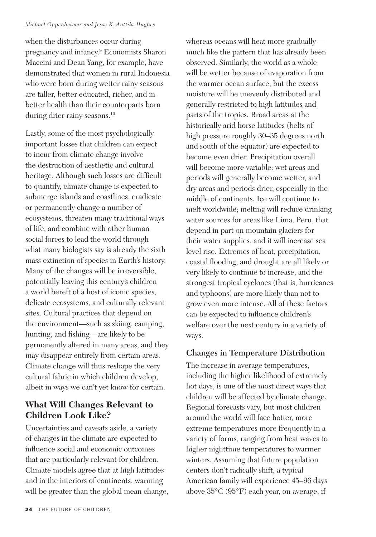#### *Michael Oppenheimer and Jesse K. Anttila-Hughes*

when the disturbances occur during pregnancy and infancy.9 Economists Sharon Maccini and Dean Yang, for example, have demonstrated that women in rural Indonesia who were born during wetter rainy seasons are taller, better educated, richer, and in better health than their counterparts born during drier rainy seasons.<sup>10</sup>

Lastly, some of the most psychologically important losses that children can expect to incur from climate change involve the destruction of aesthetic and cultural heritage. Although such losses are difficult to quantify, climate change is expected to submerge islands and coastlines, eradicate or permanently change a number of ecosystems, threaten many traditional ways of life, and combine with other human social forces to lead the world through what many biologists say is already the sixth mass extinction of species in Earth's history. Many of the changes will be irreversible, potentially leaving this century's children a world bereft of a host of iconic species, delicate ecosystems, and culturally relevant sites. Cultural practices that depend on the environment—such as skiing, camping, hunting, and fishing—are likely to be permanently altered in many areas, and they may disappear entirely from certain areas. Climate change will thus reshape the very cultural fabric in which children develop, albeit in ways we can't yet know for certain.

# **What Will Changes Relevant to Children Look Like?**

Uncertainties and caveats aside, a variety of changes in the climate are expected to influence social and economic outcomes that are particularly relevant for children. Climate models agree that at high latitudes and in the interiors of continents, warming will be greater than the global mean change, whereas oceans will heat more gradually much like the pattern that has already been observed. Similarly, the world as a whole will be wetter because of evaporation from the warmer ocean surface, but the excess moisture will be unevenly distributed and generally restricted to high latitudes and parts of the tropics. Broad areas at the historically arid horse latitudes (belts of high pressure roughly 30–35 degrees north and south of the equator) are expected to become even drier. Precipitation overall will become more variable: wet areas and periods will generally become wetter, and dry areas and periods drier, especially in the middle of continents. Ice will continue to melt worldwide; melting will reduce drinking water sources for areas like Lima, Peru, that depend in part on mountain glaciers for their water supplies, and it will increase sea level rise. Extremes of heat, precipitation, coastal flooding, and drought are all likely or very likely to continue to increase, and the strongest tropical cyclones (that is, hurricanes and typhoons) are more likely than not to grow even more intense. All of these factors can be expected to influence children's welfare over the next century in a variety of ways.

#### **Changes in Temperature Distribution**

The increase in average temperatures, including the higher likelihood of extremely hot days, is one of the most direct ways that children will be affected by climate change. Regional forecasts vary, but most children around the world will face hotter, more extreme temperatures more frequently in a variety of forms, ranging from heat waves to higher nighttime temperatures to warmer winters. Assuming that future population centers don't radically shift, a typical American family will experience 45–96 days above 35°C (95°F) each year, on average, if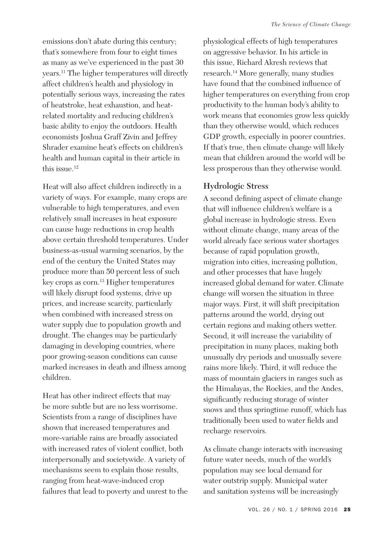emissions don't abate during this century; that's somewhere from four to eight times as many as we've experienced in the past 30 years.11 The higher temperatures will directly affect children's health and physiology in potentially serious ways, increasing the rates of heatstroke, heat exhaustion, and heatrelated mortality and reducing children's basic ability to enjoy the outdoors. Health economists Joshua Graff Zivin and Jeffrey Shrader examine heat's effects on children's health and human capital in their article in this issue.12

Heat will also affect children indirectly in a variety of ways. For example, many crops are vulnerable to high temperatures, and even relatively small increases in heat exposure can cause huge reductions in crop health above certain threshold temperatures. Under business-as-usual warming scenarios, by the end of the century the United States may produce more than 50 percent less of such key crops as corn.13 Higher temperatures will likely disrupt food systems, drive up prices, and increase scarcity, particularly when combined with increased stress on water supply due to population growth and drought. The changes may be particularly damaging in developing countries, where poor growing-season conditions can cause marked increases in death and illness among children.

Heat has other indirect effects that may be more subtle but are no less worrisome. Scientists from a range of disciplines have shown that increased temperatures and more-variable rains are broadly associated with increased rates of violent conflict, both interpersonally and societywide. A variety of mechanisms seem to explain those results, ranging from heat-wave-induced crop failures that lead to poverty and unrest to the physiological effects of high temperatures on aggressive behavior. In his article in this issue, Richard Akresh reviews that research.14 More generally, many studies have found that the combined influence of higher temperatures on everything from crop productivity to the human body's ability to work means that economies grow less quickly than they otherwise would, which reduces GDP growth, especially in poorer countries. If that's true, then climate change will likely mean that children around the world will be less prosperous than they otherwise would.

#### **Hydrologic Stress**

A second defining aspect of climate change that will influence children's welfare is a global increase in hydrologic stress. Even without climate change, many areas of the world already face serious water shortages because of rapid population growth, migration into cities, increasing pollution, and other processes that have hugely increased global demand for water. Climate change will worsen the situation in three major ways. First, it will shift precipitation patterns around the world, drying out certain regions and making others wetter. Second, it will increase the variability of precipitation in many places, making both unusually dry periods and unusually severe rains more likely. Third, it will reduce the mass of mountain glaciers in ranges such as the Himalayas, the Rockies, and the Andes, significantly reducing storage of winter snows and thus springtime runoff, which has traditionally been used to water fields and recharge reservoirs.

As climate change interacts with increasing future water needs, much of the world's population may see local demand for water outstrip supply. Municipal water and sanitation systems will be increasingly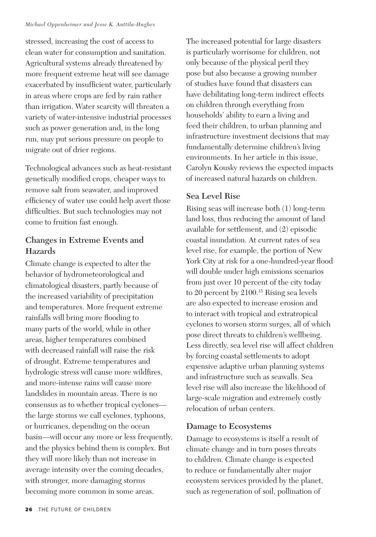stressed, increasing the cost of access to clean water for consumption and sanitation. Agricultural systems already threatened by more frequent extreme heat will see damage exacerbated by insufficient water, particularly in areas where crops are fed by rain rather than irrigation. Water scarcity will threaten a variety of water-intensive industrial processes such as power generation and, in the long run, may put serious pressure on people to migrate out of drier regions.

Technological advances such as heat-resistant genetically modified crops, cheaper ways to remove salt from seawater, and improved efficiency of water use could help avert those difficulties. But such technologies may not come to fruition fast enough.

### **Changes in Extreme Events and Hazards**

Climate change is expected to alter the behavior of hydrometeorological and climatological disasters, partly because of the increased variability of precipitation and temperatures. More frequent extreme rainfalls will bring more flooding to many parts of the world, while in other areas, higher temperatures combined with decreased rainfall will raise the risk of drought. Extreme temperatures and hydrologic stress will cause more wildfires, and more-intense rains will cause more landslides in mountain areas. There is no consensus as to whether tropical cyclones the large storms we call cyclones, typhoons, or hurricanes, depending on the ocean basin—will occur any more or less frequently, and the physics behind them is complex. But they will more likely than not increase in average intensity over the coming decades, with stronger, more damaging storms becoming more common in some areas.

The increased potential for large disasters is particularly worrisome for children, not only because of the physical peril they pose but also because a growing number of studies have found that disasters can have debilitating long-term indirect effects on children through everything from households' ability to earn a living and feed their children, to urban planning and infrastructure investment decisions that may fundamentally determine children's living environments. In her article in this issue, Carolyn Kousky reviews the expected impacts of increased natural hazards on children.

### **Sea Level Rise**

Rising seas will increase both (1) long-term land loss, thus reducing the amount of land available for settlement, and (2) episodic coastal inundation. At current rates of sea level rise, for example, the portion of New York City at risk for a one-hundred-year flood will double under high emissions scenarios from just over 10 percent of the city today to 20 percent by 2100.<sup>15</sup> Rising sea levels are also expected to increase erosion and to interact with tropical and extratropical cyclones to worsen storm surges, all of which pose direct threats to children's wellbeing. Less directly, sea level rise will affect children by forcing coastal settlements to adopt expensive adaptive urban planning systems and infrastructure such as seawalls. Sea level rise will also increase the likelihood of large-scale migration and extremely costly relocation of urban centers.

#### **Damage to Ecosystems**

Damage to ecosystems is itself a result of climate change and in turn poses threats to children. Climate change is expected to reduce or fundamentally alter major ecosystem services provided by the planet, such as regeneration of soil, pollination of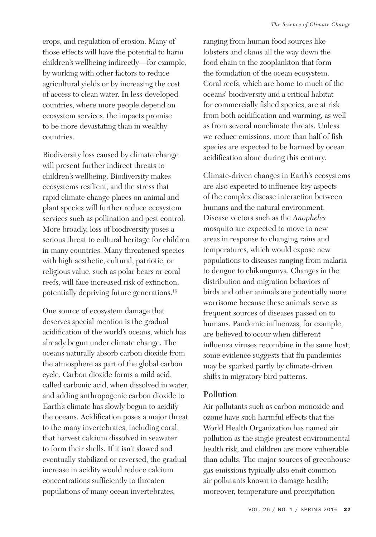crops, and regulation of erosion. Many of those effects will have the potential to harm children's wellbeing indirectly—for example, by working with other factors to reduce agricultural yields or by increasing the cost of access to clean water. In less-developed countries, where more people depend on ecosystem services, the impacts promise to be more devastating than in wealthy countries.

Biodiversity loss caused by climate change will present further indirect threats to children's wellbeing. Biodiversity makes ecosystems resilient, and the stress that rapid climate change places on animal and plant species will further reduce ecosystem services such as pollination and pest control. More broadly, loss of biodiversity poses a serious threat to cultural heritage for children in many countries. Many threatened species with high aesthetic, cultural, patriotic, or religious value, such as polar bears or coral reefs, will face increased risk of extinction, potentially depriving future generations.16

One source of ecosystem damage that deserves special mention is the gradual acidification of the world's oceans, which has already begun under climate change. The oceans naturally absorb carbon dioxide from the atmosphere as part of the global carbon cycle. Carbon dioxide forms a mild acid, called carbonic acid, when dissolved in water, and adding anthropogenic carbon dioxide to Earth's climate has slowly begun to acidify the oceans. Acidification poses a major threat to the many invertebrates, including coral, that harvest calcium dissolved in seawater to form their shells. If it isn't slowed and eventually stabilized or reversed, the gradual increase in acidity would reduce calcium concentrations sufficiently to threaten populations of many ocean invertebrates,

ranging from human food sources like lobsters and clams all the way down the food chain to the zooplankton that form the foundation of the ocean ecosystem. Coral reefs, which are home to much of the oceans' biodiversity and a critical habitat for commercially fished species, are at risk from both acidification and warming, as well as from several nonclimate threats. Unless we reduce emissions, more than half of fish species are expected to be harmed by ocean acidification alone during this century.

Climate-driven changes in Earth's ecosystems are also expected to influence key aspects of the complex disease interaction between humans and the natural environment. Disease vectors such as the *Anopheles* mosquito are expected to move to new areas in response to changing rains and temperatures, which would expose new populations to diseases ranging from malaria to dengue to chikungunya. Changes in the distribution and migration behaviors of birds and other animals are potentially more worrisome because these animals serve as frequent sources of diseases passed on to humans. Pandemic influenzas, for example, are believed to occur when different influenza viruses recombine in the same host; some evidence suggests that flu pandemics may be sparked partly by climate-driven shifts in migratory bird patterns.

### **Pollution**

Air pollutants such as carbon monoxide and ozone have such harmful effects that the World Health Organization has named air pollution as the single greatest environmental health risk, and children are more vulnerable than adults. The major sources of greenhouse gas emissions typically also emit common air pollutants known to damage health; moreover, temperature and precipitation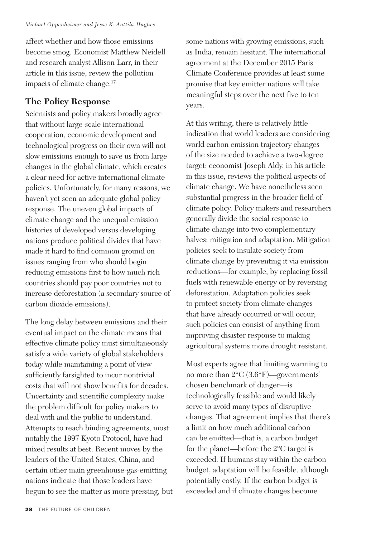affect whether and how those emissions become smog. Economist Matthew Neidell and research analyst Allison Larr, in their article in this issue, review the pollution impacts of climate change.<sup>17</sup>

## **The Policy Response**

Scientists and policy makers broadly agree that without large-scale international cooperation, economic development and technological progress on their own will not slow emissions enough to save us from large changes in the global climate, which creates a clear need for active international climate policies. Unfortunately, for many reasons, we haven't yet seen an adequate global policy response. The uneven global impacts of climate change and the unequal emission histories of developed versus developing nations produce political divides that have made it hard to find common ground on issues ranging from who should begin reducing emissions first to how much rich countries should pay poor countries not to increase deforestation (a secondary source of carbon dioxide emissions).

The long delay between emissions and their eventual impact on the climate means that effective climate policy must simultaneously satisfy a wide variety of global stakeholders today while maintaining a point of view sufficiently farsighted to incur nontrivial costs that will not show benefits for decades. Uncertainty and scientific complexity make the problem difficult for policy makers to deal with and the public to understand. Attempts to reach binding agreements, most notably the 1997 Kyoto Protocol, have had mixed results at best. Recent moves by the leaders of the United States, China, and certain other main greenhouse-gas-emitting nations indicate that those leaders have begun to see the matter as more pressing, but

some nations with growing emissions, such as India, remain hesitant. The international agreement at the December 2015 Paris Climate Conference provides at least some promise that key emitter nations will take meaningful steps over the next five to ten years.

At this writing, there is relatively little indication that world leaders are considering world carbon emission trajectory changes of the size needed to achieve a two-degree target; economist Joseph Aldy, in his article in this issue, reviews the political aspects of climate change. We have nonetheless seen substantial progress in the broader field of climate policy. Policy makers and researchers generally divide the social response to climate change into two complementary halves: mitigation and adaptation. Mitigation policies seek to insulate society from climate change by preventing it via emission reductions—for example, by replacing fossil fuels with renewable energy or by reversing deforestation. Adaptation policies seek to protect society from climate changes that have already occurred or will occur; such policies can consist of anything from improving disaster response to making agricultural systems more drought resistant.

Most experts agree that limiting warming to no more than 2°C (3.6°F)—governments' chosen benchmark of danger—is technologically feasible and would likely serve to avoid many types of disruptive changes. That agreement implies that there's a limit on how much additional carbon can be emitted—that is, a carbon budget for the planet—before the 2°C target is exceeded. If humans stay within the carbon budget, adaptation will be feasible, although potentially costly. If the carbon budget is exceeded and if climate changes become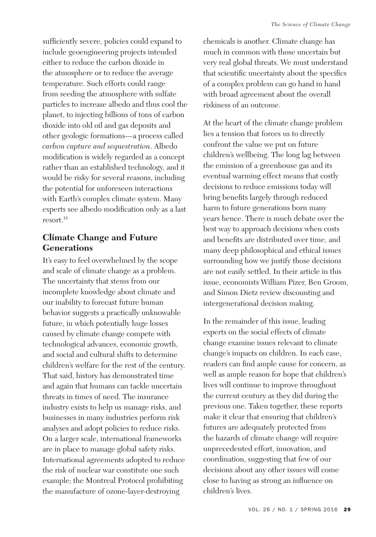sufficiently severe, policies could expand to include geoengineering projects intended either to reduce the carbon dioxide in the atmosphere or to reduce the average temperature. Such efforts could range from seeding the atmosphere with sulfate particles to increase albedo and thus cool the planet, to injecting billions of tons of carbon dioxide into old oil and gas deposits and other geologic formations—a process called *carbon capture and sequestration*. Albedo modification is widely regarded as a concept rather than an established technology, and it would be risky for several reasons, including the potential for unforeseen interactions with Earth's complex climate system. Many experts see albedo modification only as a last resort.18

### **Climate Change and Future Generations**

It's easy to feel overwhelmed by the scope and scale of climate change as a problem. The uncertainty that stems from our incomplete knowledge about climate and our inability to forecast future human behavior suggests a practically unknowable future, in which potentially huge losses caused by climate change compete with technological advances, economic growth, and social and cultural shifts to determine children's welfare for the rest of the century. That said, history has demonstrated time and again that humans can tackle uncertain threats in times of need. The insurance industry exists to help us manage risks, and businesses in many industries perform risk analyses and adopt policies to reduce risks. On a larger scale, international frameworks are in place to manage global safety risks. International agreements adopted to reduce the risk of nuclear war constitute one such example; the Montreal Protocol prohibiting the manufacture of ozone-layer-destroying

chemicals is another. Climate change has much in common with those uncertain but very real global threats. We must understand that scientific uncertainty about the specifics of a complex problem can go hand in hand with broad agreement about the overall riskiness of an outcome.

At the heart of the climate change problem lies a tension that forces us to directly confront the value we put on future children's wellbeing. The long lag between the emission of a greenhouse gas and its eventual warming effect means that costly decisions to reduce emissions today will bring benefits largely through reduced harm to future generations born many years hence. There is much debate over the best way to approach decisions when costs and benefits are distributed over time, and many deep philosophical and ethical issues surrounding how we justify those decisions are not easily settled. In their article in this issue, economists William Pizer, Ben Groom, and Simon Dietz review discounting and intergenerational decision making.

In the remainder of this issue, leading experts on the social effects of climate change examine issues relevant to climate change's impacts on children. In each case, readers can find ample cause for concern, as well as ample reason for hope that children's lives will continue to improve throughout the current century as they did during the previous one. Taken together, these reports make it clear that ensuring that children's futures are adequately protected from the hazards of climate change will require unprecedented effort, innovation, and coordination, suggesting that few of our decisions about any other issues will come close to having as strong an influence on children's lives.